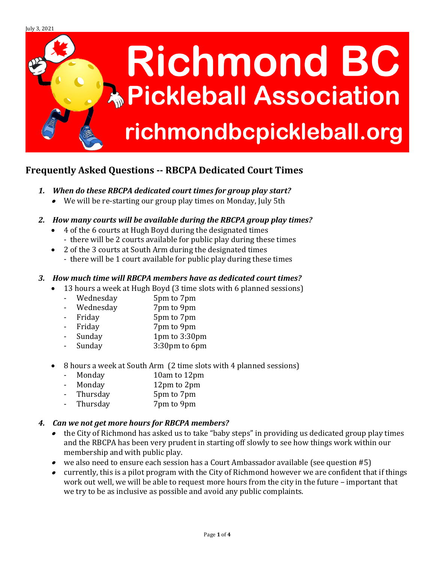

# **Frequently Asked Questions -- RBCPA Dedicated Court Times**

- *1. When do these RBCPA dedicated court times for group play start?*
	- We will be re-starting our group play times on Monday, July 5th
- *2. How many courts will be available during the RBCPA group play times?*
	- 4 of the 6 courts at Hugh Boyd during the designated times
	- there will be 2 courts available for public play during these times
	- 2 of the 3 courts at South Arm during the designated times - there will be 1 court available for public play during these times

## *3. How much time will RBCPA members have as dedicated court times?*

- 13 hours a week at Hugh Boyd (3 time slots with 6 planned sessions)
	- Wednesday 5pm to 7pm
	- Wednesday 7pm to 9pm
	- Friday 5pm to 7pm
	- Friday 7pm to 9pm
	- Sunday 1pm to 3:30pm
	- Sunday 3:30pm to 6pm
- 8 hours a week at South Arm (2 time slots with 4 planned sessions)
	- Monday 10am to 12pm
	- Monday 12pm to 2pm
	- Thursday 5pm to 7pm
	- Thursday 7pm to 9pm

### *4. Can we not get more hours for RBCPA members?*

- • the City of Richmond has asked us to take "baby steps" in providing us dedicated group play times and the RBCPA has been very prudent in starting off slowly to see how things work within our membership and with public play.
- we also need to ensure each session has a Court Ambassador available (see question #5)
- currently, this is a pilot program with the City of Richmond however we are confident that if things work out well, we will be able to request more hours from the city in the future – important that we try to be as inclusive as possible and avoid any public complaints.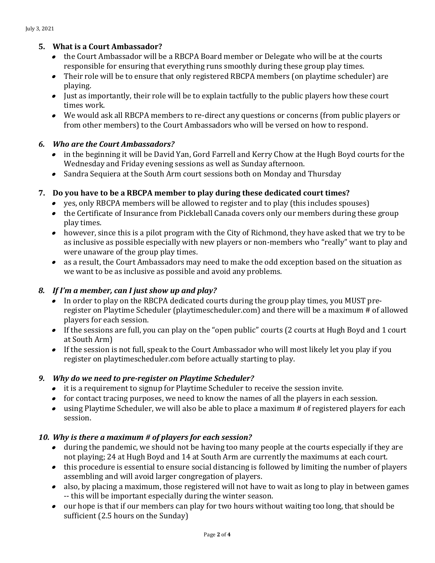# **5. What is a Court Ambassador?**

- the Court Ambassador will be a RBCPA Board member or Delegate who will be at the courts responsible for ensuring that everything runs smoothly during these group play times.
- Their role will be to ensure that only registered RBCPA members (on playtime scheduler) are playing.
- Just as importantly, their role will be to explain tactfully to the public players how these court times work.
- We would ask all RBCPA members to re-direct any questions or concerns (from public players or from other members) to the Court Ambassadors who will be versed on how to respond.

## *6. Who are the Court Ambassadors?*

- in the beginning it will be David Yan, Gord Farrell and Kerry Chow at the Hugh Boyd courts for the Wednesday and Friday evening sessions as well as Sunday afternoon.
- Sandra Sequiera at the South Arm court sessions both on Monday and Thursday

## **7. Do you have to be a RBCPA member to play during these dedicated court times?**

- yes, only RBCPA members will be allowed to register and to play (this includes spouses)
- the Certificate of Insurance from Pickleball Canada covers only our members during these group play times.
- however, since this is a pilot program with the City of Richmond, they have asked that we try to be as inclusive as possible especially with new players or non-members who "really" want to play and were unaware of the group play times.
- as a result, the Court Ambassadors may need to make the odd exception based on the situation as we want to be as inclusive as possible and avoid any problems.

### *8. If I'm a member, can I just show up and play?*

- In order to play on the RBCPA dedicated courts during the group play times, you MUST preregister on Playtime Scheduler (playtimescheduler.com) and there will be a maximum # of allowed players for each session.
- If the sessions are full, you can play on the "open public" courts (2 courts at Hugh Boyd and 1 court at South Arm)
- If the session is not full, speak to the Court Ambassador who will most likely let you play if you register on playtimescheduler.com before actually starting to play.

### *9. Why do we need to pre-register on Playtime Scheduler?*

- it is a requirement to signup for Playtime Scheduler to receive the session invite.
- for contact tracing purposes, we need to know the names of all the players in each session.
- using Playtime Scheduler, we will also be able to place a maximum # of registered players for each session.

### *10. Why is there a maximum # of players for each session?*

- during the pandemic, we should not be having too many people at the courts especially if they are not playing; 24 at Hugh Boyd and 14 at South Arm are currently the maximums at each court.
- this procedure is essential to ensure social distancing is followed by limiting the number of players assembling and will avoid larger congregation of players.
- also, by placing a maximum, those registered will not have to wait as long to play in between games -- this will be important especially during the winter season.
- our hope is that if our members can play for two hours without waiting too long, that should be sufficient (2.5 hours on the Sunday)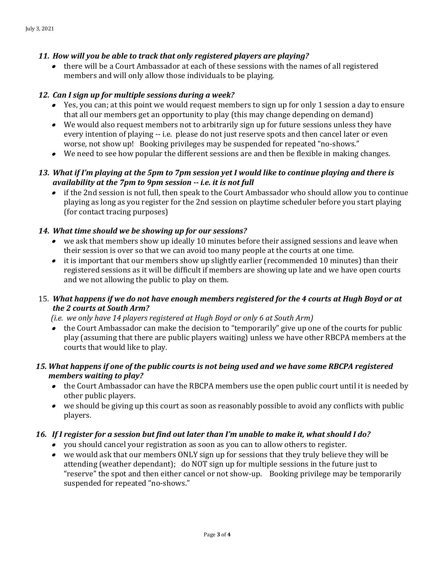### *11. How will you be able to track that only registered players are playing?*

• there will be a Court Ambassador at each of these sessions with the names of all registered members and will only allow those individuals to be playing.

### *12. Can I sign up for multiple sessions during a week?*

- Yes, you can; at this point we would request members to sign up for only 1 session a day to ensure that all our members get an opportunity to play (this may change depending on demand)
- We would also request members not to arbitrarily sign up for future sessions unless they have every intention of playing -- i.e. please do not just reserve spots and then cancel later or even worse, not show up! Booking privileges may be suspended for repeated "no-shows."
- We need to see how popular the different sessions are and then be flexible in making changes.

# *13. What if I'm playing at the 5pm to 7pm session yet I would like to continue playing and there is availability at the 7pm to 9pm session -- i.e. it is not full*

• if the 2nd session is not full, then speak to the Court Ambassador who should allow you to continue playing as long as you register for the 2nd session on playtime scheduler before you start playing (for contact tracing purposes)

## *14. What time should we be showing up for our sessions?*

- we ask that members show up ideally 10 minutes before their assigned sessions and leave when their session is over so that we can avoid too many people at the courts at one time.
- it is important that our members show up slightly earlier (recommended 10 minutes) than their registered sessions as it will be difficult if members are showing up late and we have open courts and we not allowing the public to play on them.

# 15. *What happens if we do not have enough members registered for the 4 courts at Hugh Boyd or at the 2 courts at South Arm?*

*(i.e. we only have 14 players registered at Hugh Boyd or only 6 at South Arm)*

• the Court Ambassador can make the decision to "temporarily" give up one of the courts for public play (assuming that there are public players waiting) unless we have other RBCPA members at the courts that would like to play.

## *15. What happens if one of the public courts is not being used and we have some RBCPA registered members waiting to play?*

- the Court Ambassador can have the RBCPA members use the open public court until it is needed by other public players.
- we should be giving up this court as soon as reasonably possible to avoid any conflicts with public players.

### *16. If I register for a session but find out later than I'm unable to make it, what should I do?*

- you should cancel your registration as soon as you can to allow others to register.
- we would ask that our members ONLY sign up for sessions that they truly believe they will be attending (weather dependant); do NOT sign up for multiple sessions in the future just to "reserve" the spot and then either cancel or not show-up. Booking privilege may be temporarily suspended for repeated "no-shows."